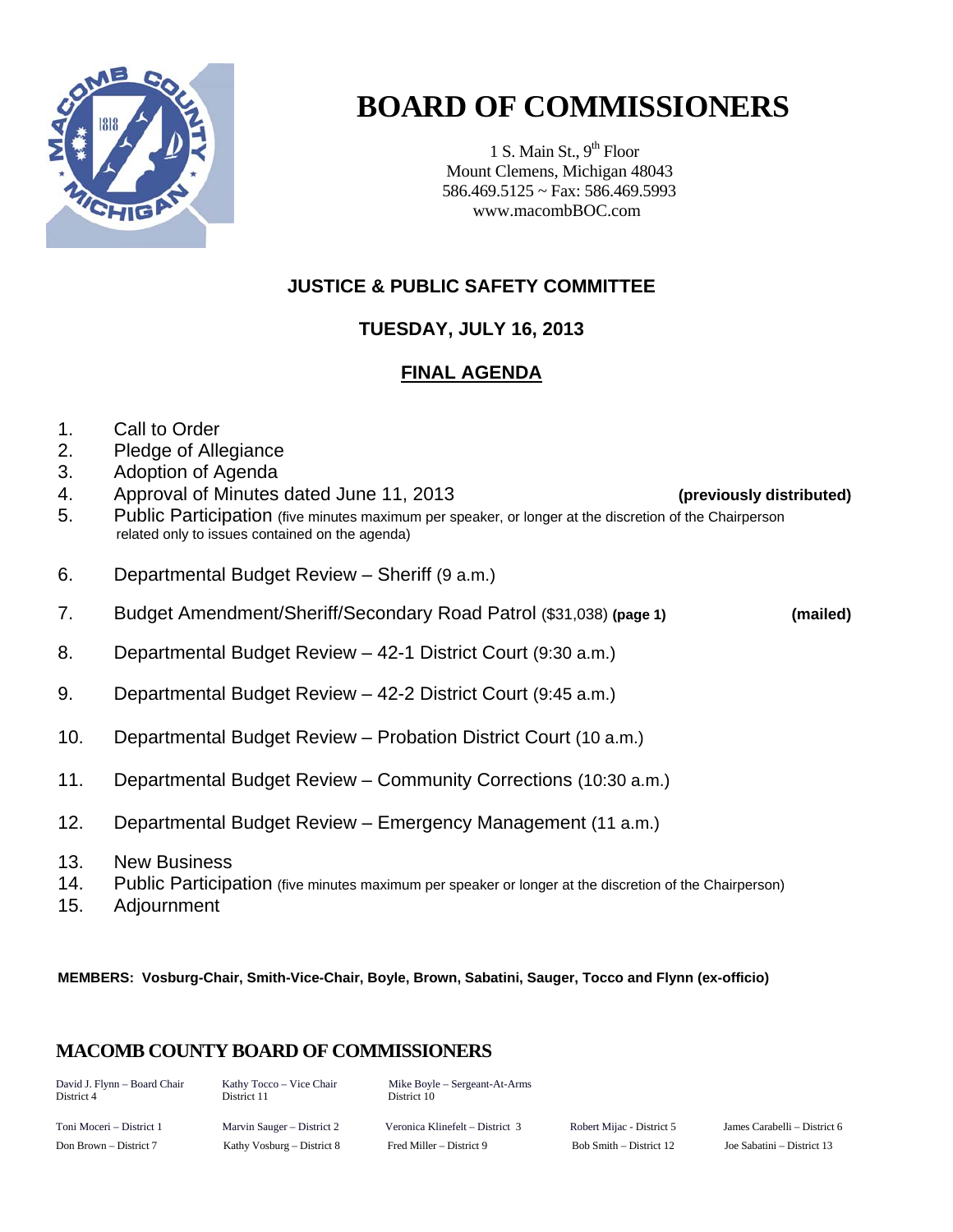

# **BOARD OF COMMISSIONERS**

1 S. Main St.,  $9<sup>th</sup>$  Floor Mount Clemens, Michigan 48043 586.469.5125 ~ Fax: 586.469.5993 www.macombBOC.com

## **JUSTICE & PUBLIC SAFETY COMMITTEE**

## **TUESDAY, JULY 16, 2013**

## **FINAL AGENDA**

- 1. Call to Order
- 2. Pledge of Allegiance
- 3. Adoption of Agenda
- 4. Approval of Minutes dated June 11, 2013 **(previously distributed)**
- 5. Public Participation (five minutes maximum per speaker, or longer at the discretion of the Chairperson related only to issues contained on the agenda)
- 6. Departmental Budget Review Sheriff (9 a.m.)
- 7. Budget Amendment/Sheriff/Secondary Road Patrol (\$31,038) **(page 1) (mailed)**
- 8. Departmental Budget Review 42-1 District Court (9:30 a.m.)
- 9. Departmental Budget Review 42-2 District Court (9:45 a.m.)
- 10. Departmental Budget Review Probation District Court (10 a.m.)
- 11. Departmental Budget Review Community Corrections (10:30 a.m.)
- 12. Departmental Budget Review Emergency Management (11 a.m.)
- 13. New Business
- 14. Public Participation (five minutes maximum per speaker or longer at the discretion of the Chairperson)
- 15. Adjournment

**MEMBERS: Vosburg-Chair, Smith-Vice-Chair, Boyle, Brown, Sabatini, Sauger, Tocco and Flynn (ex-officio)** 

### **MACOMB COUNTY BOARD OF COMMISSIONERS**

| David J. Flynn - Board Chair<br>District 4 | Kathy Tocco – Vice Chair<br>District 11 | Mike Boyle – Sergeant-At-Arms<br>District 10 |                           |                            |
|--------------------------------------------|-----------------------------------------|----------------------------------------------|---------------------------|----------------------------|
| Toni Moceri – District 1                   | Marvin Sauger – District 2              | Veronica Klinefelt – District 3              | Robert Mijac - District 5 | James Carabelli – District |
| Don Brown – District 7                     | Kathy Vosburg – District 8              | Fred Miller – District 9                     | Bob Smith – District 12   | Joe Sabatini – District 13 |

Toni Moceri – District 1 Marvin Sauger – District 2 Veronica Klinefelt – District 3 Robert Mijac - District 5 James Carabelli – District 6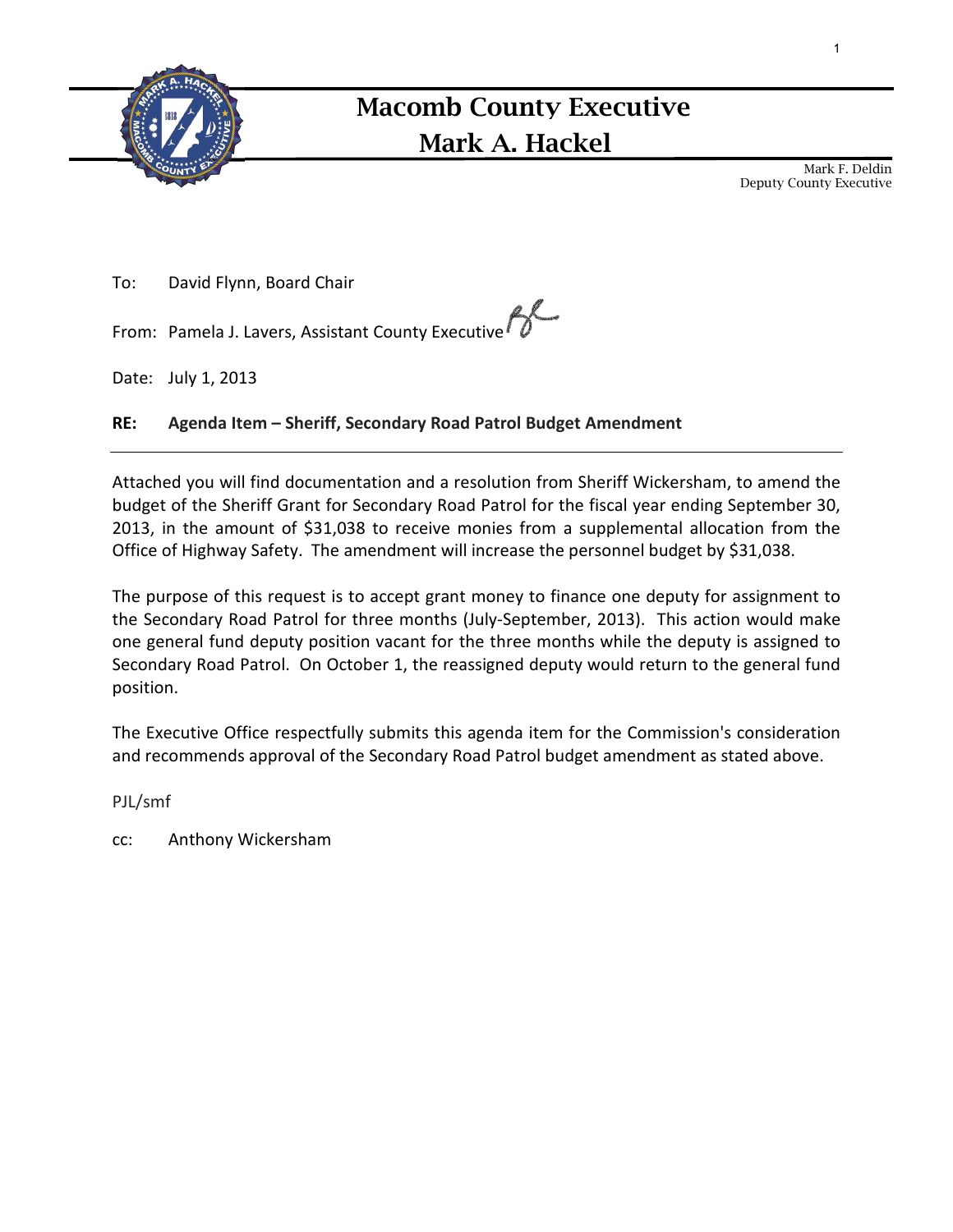

## Mark A. Hackel Macomb County Executive

Mark F. Deldin Deputy County Executive

To: David Flynn, Board Chair

From: Pamela J. Lavers, Assistant County Executive<sup>1</sup>

Date: July 1, 2013

### RE: Agenda Item – Sheriff, Secondary Road Patrol Budget Amendment

Attached you will find documentation and a resolution from Sheriff Wickersham, to amend the budget of the Sheriff Grant for Secondary Road Patrol for the fiscal year ending September 30, 2013, in the amount of \$31,038 to receive monies from a supplemental allocation from the Office of Highway Safety. The amendment will increase the personnel budget by \$31,038.

The purpose of this request is to accept grant money to finance one deputy for assignment to the Secondary Road Patrol for three months (July-September, 2013). This action would make one general fund deputy position vacant for the three months while the deputy is assigned to Secondary Road Patrol. On October 1, the reassigned deputy would return to the general fund position.

The Executive Office respectfully submits this agenda item for the Commission's consideration and recommends approval of the Secondary Road Patrol budget amendment as stated above.

PJL/smf

cc: Anthony Wickersham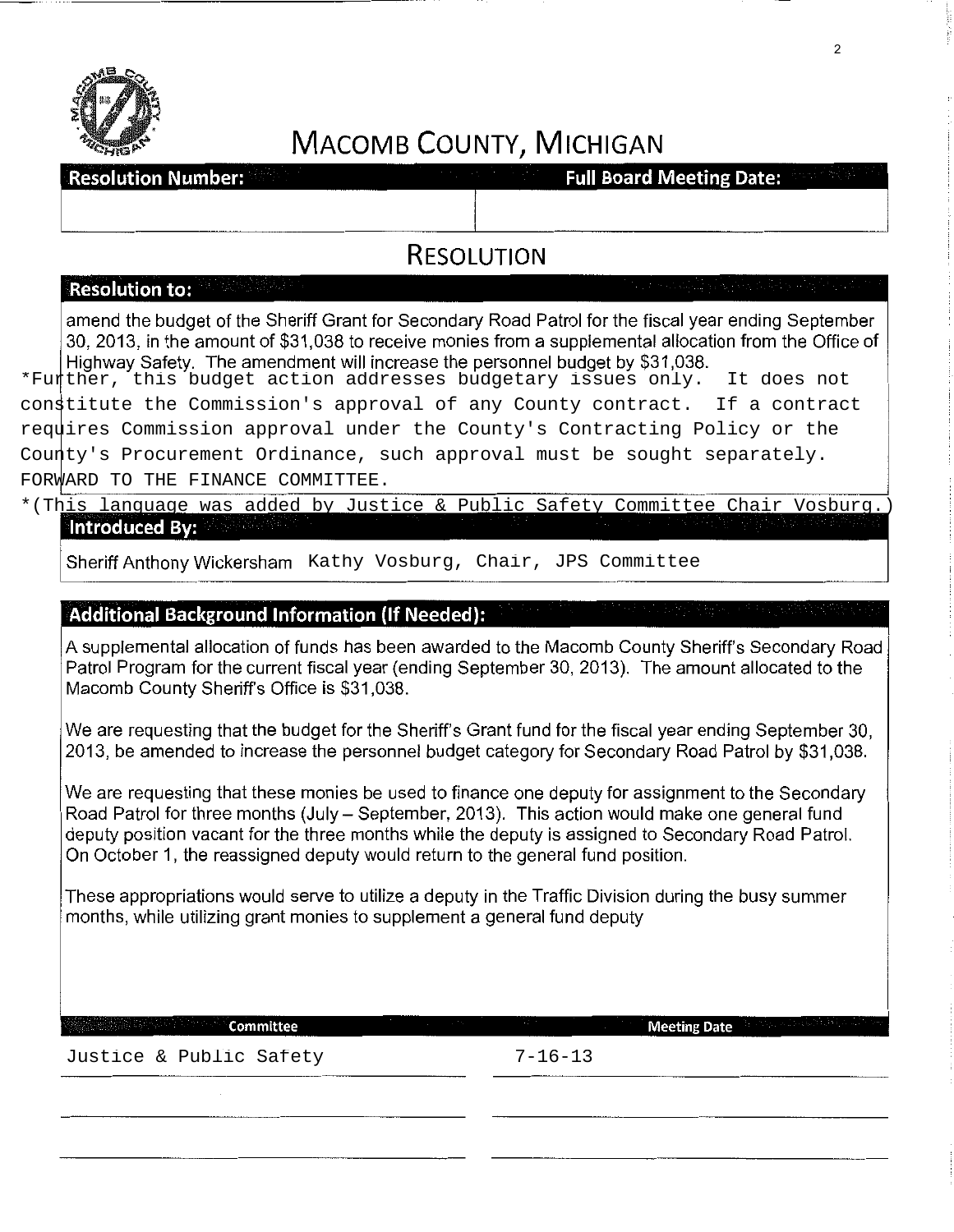

## **MACOMB COUNTY, MICHIGAN**

**Resolution Number:** 

**Full Board Meeting Date:** 

## **RESOLUTION**

#### **Resolution to:**

amend the budget of the Sheriff Grant for Secondary Road Patrol for the fiscal year ending September 30, 2013, in the amount of \$31,038 to receive monies from a supplemental allocation from the Office of Highway Safety. The amendment will increase the personnel budget by \$31,038.

\*Further, this budget action addresses budgetary issues only. It does not constitute the Commission's approval of any County contract. If a contract requires Commission approval under the County's Contracting Policy or the County's Procurement Ordinance, such approval must be sought separately. FORWARD TO THE FINANCE COMMITTEE.

#### \*(This language was added by Justice & Public Safety Committee Chair Vosburg.) Introduced By:

#### **Additional Background Information (If Needed):**

A supplemental allocation of funds has been awarded to the Macomb County Sheriff's Secondary Road Patrol Program for the current fiscal year (ending September 30, 2013). The amount allocated to the Macomb County Sheriff's Office is \$31,038.

We are requesting that the budget for the Sheriff's Grant fund for the fiscal year ending September 30, 2013, be amended to increase the personnel budget category for Secondary Road Patrol by \$31,038.

We are requesting that these monies be used to finance one deputy for assignment to the Secondary Road Patrol for three months (July- September, 2013). This action would make one general fund deputy position vacant for the three months while the deputy is assigned to Secondary Road Patrol. On October 1, the reassigned deputy would return to the general fund position. Sheriff Anthony Wickersham Kathy Vosburg, Chair, JPS Committee<br> **Additional Background Information (if Needed):**<br>
A supplemental allocation of funds has been awarded to the Macomb County She<br>
Patrol Program for the current

These appropriations would serve to utilize a deputy in the Traffic Division during the busy summer months, while utilizing grant monies to supplement a general fund deputy

**Committee Meeting Date** Meeting Date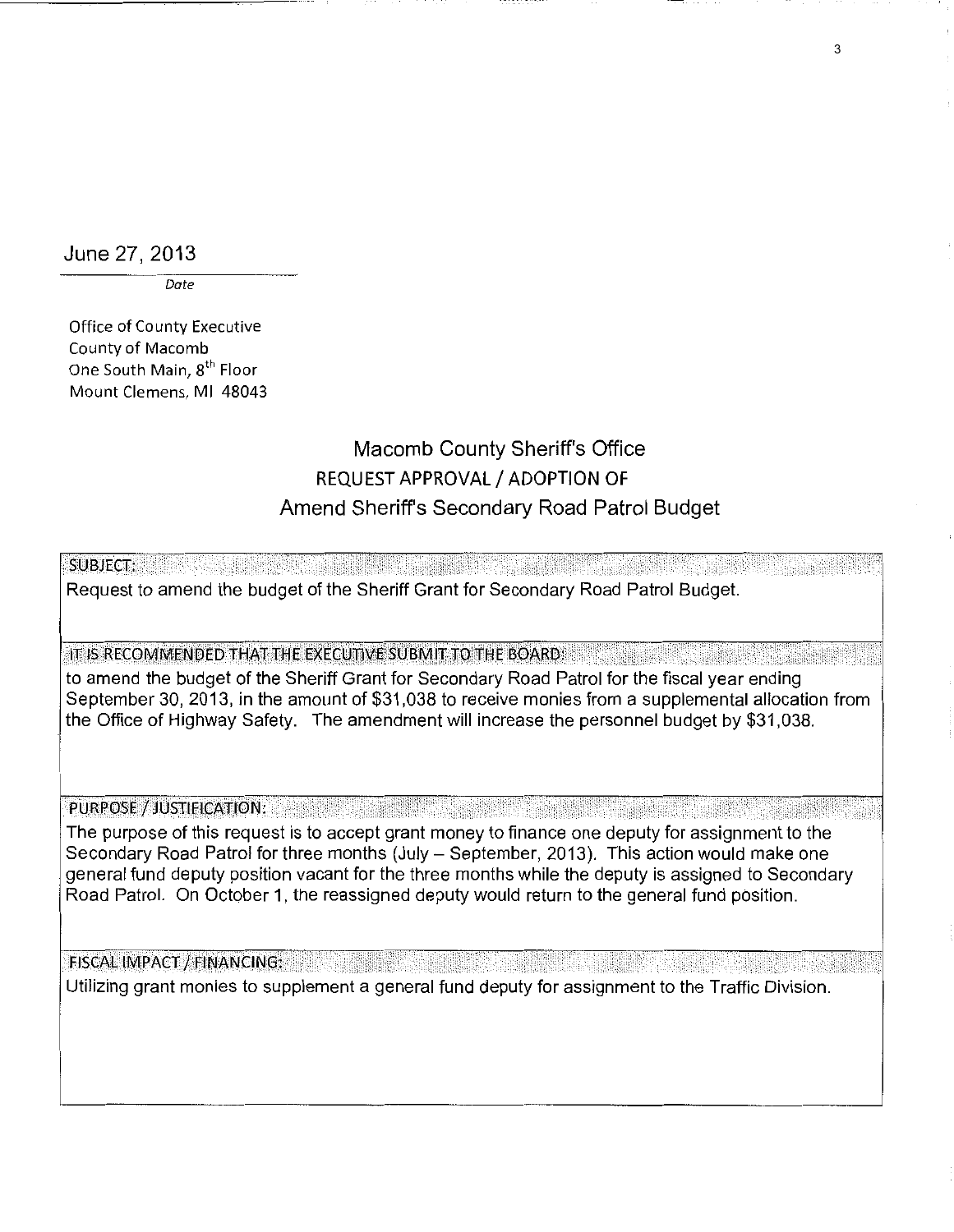June 27, 2013

*Date* 

Office of County Executive County of Macomb One South Main, 8<sup>th</sup> Floor Mount Clemens, Ml 48043

## Macomb County Sheriff's Office REQUEST APPROVAL/ ADOPTION OF Amend Sheriff's Secondary Road Patrol Budget

SUBJECT: Request to amend the budget of the Sheriff Grant for Secondary Road Patrol Budget.

IT IS RECOMMENDED THAT THE EXECUTIVE SUBMIT TO THE BOARD:

to amend the budget of the Sheriff Grant for Secondary Road Patrol for the fiscal year ending September 30, 2013, in the amount of \$31,038 to receive monies from a supplemental allocation from the Office of Highway Safety. The amendment will increase the personnel budget by \$31,038.

PURPOSE / JUSTIFICATION:

The purpose of this request is to accept grant money to finance one deputy for assignment to the Secondary Road Patrol for three months (July- September, 2013). This action would make one general fund deputy position vacant for the three months while the deputy is assigned to Secondary Road Patrol. On October 1, the reassigned deputy would return to the general fund position.

FISCAL IMPACT / FINANCING:

Utilizing grant monies to supplement a general fund deputy for assignment to the Traffic Division.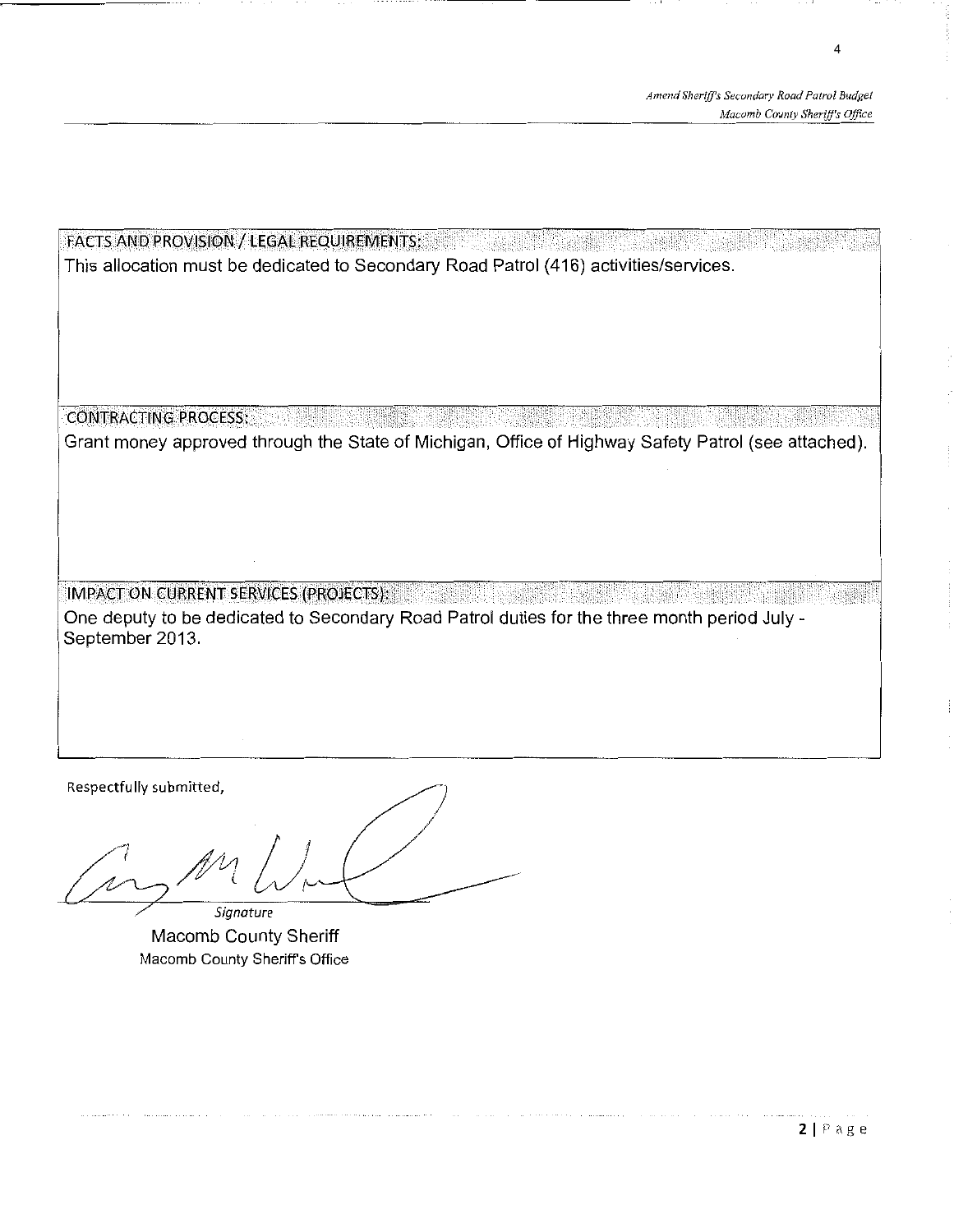4

FACTS AND PROVISION / LEGAL REQUIREMENTS: Entertainment of the state of the state of the state of the state of This allocation must be dedicated to Secondary Road Patrol (416) activities/services. coi'JrRAcri!'JG.PRoci:ss:. Grant money approved through the State of Michigan, Office of Highway Safety Patrol (see attached). **IMPACT ON CURRENT SERVICES (PROJECTS):** One deputy to be dedicated to Secondary Road Patrol duties for the three month period July - September 2013.

Respectfully submitted,

*7* 

*Signature*  Macomb County Sheriff Macomb County Sheriff's Office